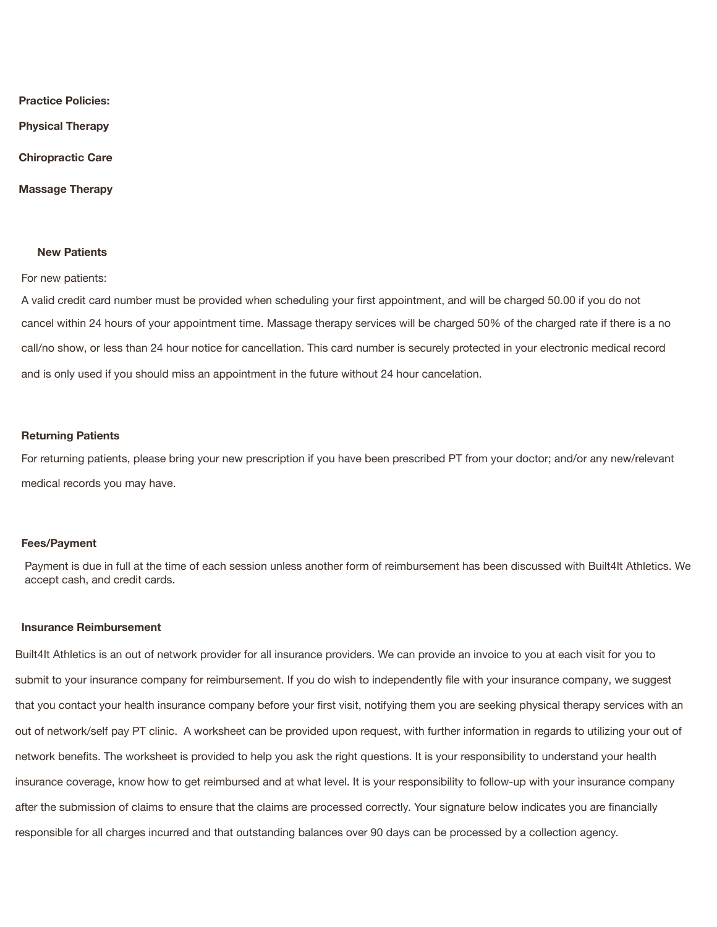**Practice Policies:**

**Physical Therapy**

**Chiropractic Care**

**Massage Therapy**

# **New Patients**

#### For new patients:

A valid credit card number must be provided when scheduling your first appointment, and will be charged 50.00 if you do not cancel within 24 hours of your appointment time. Massage therapy services will be charged 50% of the charged rate if there is a no call/no show, or less than 24 hour notice for cancellation. This card number is securely protected in your electronic medical record and is only used if you should miss an appointment in the future without 24 hour cancelation.

#### **Returning Patients**

For returning patients, please bring your new prescription if you have been prescribed PT from your doctor; and/or any new/relevant medical records you may have.

## **Fees/Payment**

Payment is due in full at the time of each session unless another form of reimbursement has been discussed with Built4It Athletics. We accept cash, and credit cards.

#### **Insurance Reimbursement**

Built4It Athletics is an out of network provider for all insurance providers. We can provide an invoice to you at each visit for you to submit to your insurance company for reimbursement. If you do wish to independently file with your insurance company, we suggest that you contact your health insurance company before your first visit, notifying them you are seeking physical therapy services with an out of network/self pay PT clinic. A worksheet can be provided upon request, with further information in regards to utilizing your out of network benefits. The worksheet is provided to help you ask the right questions. It is your responsibility to understand your health insurance coverage, know how to get reimbursed and at what level. It is your responsibility to follow-up with your insurance company after the submission of claims to ensure that the claims are processed correctly. Your signature below indicates you are financially responsible for all charges incurred and that outstanding balances over 90 days can be processed by a collection agency.